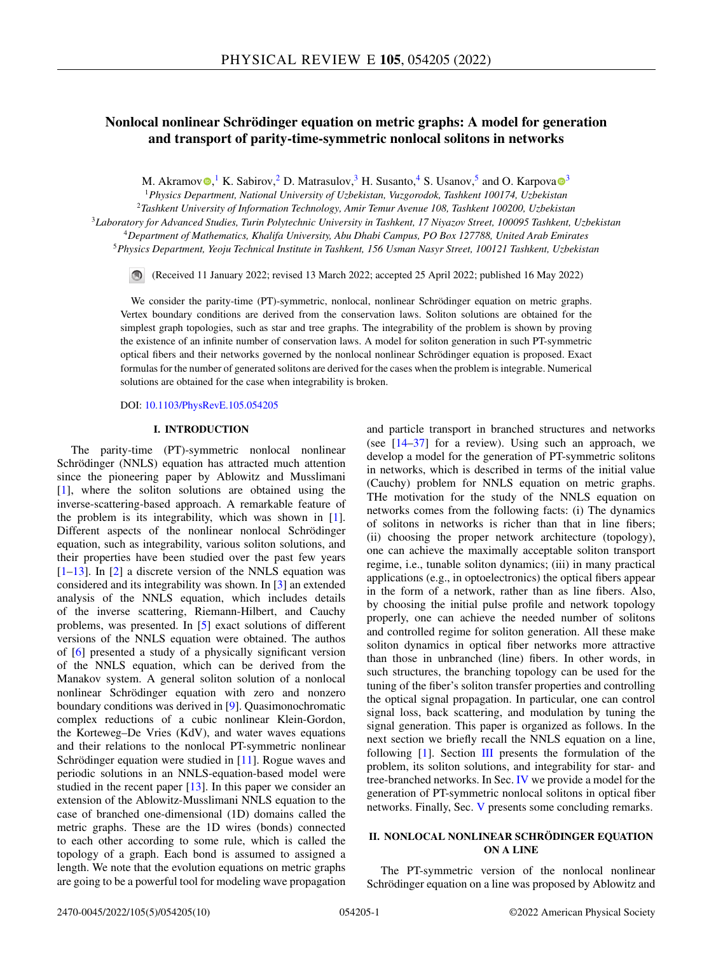# **Nonlocal nonlinear Schrödinger equation on metric graphs: A model for generation and transport of parity-time-symmetric nonlocal solitons in networks**

M. Akramov $\bigcirc$ [,](https://orcid.org/0000-0003-1819-3704)<sup>1</sup> K. Sabirov,<sup>2</sup> D. Matrasulov,<sup>[3](https://orcid.org/0000-0001-6182-4079)</sup> H. Susanto,<sup>4</sup> S. Usanov,<sup>5</sup> and O. Karpova $\bigcirc$ <sup>3</sup>

<sup>1</sup>*Physics Department, National University of Uzbekistan, Vuzgorodok, Tashkent 100174, Uzbekistan*

<sup>2</sup>*Tashkent University of Information Technology, Amir Temur Avenue 108, Tashkent 100200, Uzbekistan*

<sup>3</sup>*Laboratory for Advanced Studies, Turin Polytechnic University in Tashkent, 17 Niyazov Street, 100095 Tashkent, Uzbekistan*

<sup>4</sup>*Department of Mathematics, Khalifa University, Abu Dhabi Campus, PO Box 127788, United Arab Emirates* <sup>5</sup>*Physics Department, Yeoju Technical Institute in Tashkent, 156 Usman Nasyr Street, 100121 Tashkent, Uzbekistan*

(Received 11 January 2022; revised 13 March 2022; accepted 25 April 2022; published 16 May 2022)

We consider the parity-time (PT)-symmetric, nonlocal, nonlinear Schrödinger equation on metric graphs. Vertex boundary conditions are derived from the conservation laws. Soliton solutions are obtained for the simplest graph topologies, such as star and tree graphs. The integrability of the problem is shown by proving the existence of an infinite number of conservation laws. A model for soliton generation in such PT-symmetric optical fibers and their networks governed by the nonlocal nonlinear Schrödinger equation is proposed. Exact formulas for the number of generated solitons are derived for the cases when the problem is integrable. Numerical solutions are obtained for the case when integrability is broken.

DOI: [10.1103/PhysRevE.105.054205](https://doi.org/10.1103/PhysRevE.105.054205)

### **I. INTRODUCTION**

The parity-time (PT)-symmetric nonlocal nonlinear Schrödinger (NNLS) equation has attracted much attention since the pioneering paper by Ablowitz and Musslimani [\[1\]](#page-9-0), where the soliton solutions are obtained using the inverse-scattering-based approach. A remarkable feature of the problem is its integrability, which was shown in [\[1\]](#page-9-0). Different aspects of the nonlinear nonlocal Schrödinger equation, such as integrability, various soliton solutions, and their properties have been studied over the past few years  $[1-13]$ . In  $[2]$  a discrete version of the NNLS equation was considered and its integrability was shown. In [\[3\]](#page-9-0) an extended analysis of the NNLS equation, which includes details of the inverse scattering, Riemann-Hilbert, and Cauchy problems, was presented. In [\[5\]](#page-9-0) exact solutions of different versions of the NNLS equation were obtained. The authos of [\[6\]](#page-9-0) presented a study of a physically significant version of the NNLS equation, which can be derived from the Manakov system. A general soliton solution of a nonlocal nonlinear Schrödinger equation with zero and nonzero boundary conditions was derived in [\[9\]](#page-9-0). Quasimonochromatic complex reductions of a cubic nonlinear Klein-Gordon, the Korteweg–De Vries (KdV), and water waves equations and their relations to the nonlocal PT-symmetric nonlinear Schrödinger equation were studied in [\[11\]](#page-9-0). Rogue waves and periodic solutions in an NNLS-equation-based model were studied in the recent paper  $[13]$ . In this paper we consider an extension of the Ablowitz-Musslimani NNLS equation to the case of branched one-dimensional (1D) domains called the metric graphs. These are the 1D wires (bonds) connected to each other according to some rule, which is called the topology of a graph. Each bond is assumed to assigned a length. We note that the evolution equations on metric graphs are going to be a powerful tool for modeling wave propagation

and particle transport in branched structures and networks (see  $[14-37]$  for a review). Using such an approach, we develop a model for the generation of PT-symmetric solitons in networks, which is described in terms of the initial value (Cauchy) problem for NNLS equation on metric graphs. THe motivation for the study of the NNLS equation on networks comes from the following facts: (i) The dynamics of solitons in networks is richer than that in line fibers; (ii) choosing the proper network architecture (topology), one can achieve the maximally acceptable soliton transport regime, i.e., tunable soliton dynamics; (iii) in many practical applications (e.g., in optoelectronics) the optical fibers appear in the form of a network, rather than as line fibers. Also, by choosing the initial pulse profile and network topology properly, one can achieve the needed number of solitons and controlled regime for soliton generation. All these make soliton dynamics in optical fiber networks more attractive than those in unbranched (line) fibers. In other words, in such structures, the branching topology can be used for the tuning of the fiber's soliton transfer properties and controlling the optical signal propagation. In particular, one can control signal loss, back scattering, and modulation by tuning the signal generation. This paper is organized as follows. In the next section we briefly recall the NNLS equation on a line, following  $[1]$ . Section [III](#page-1-0) presents the formulation of the problem, its soliton solutions, and integrability for star- and tree-branched networks. In Sec. [IV](#page-4-0) we provide a model for the generation of PT-symmetric nonlocal solitons in optical fiber networks. Finally, Sec. [V](#page-8-0) presents some concluding remarks.

# **II. NONLOCAL NONLINEAR SCHRÖDINGER EQUATION ON A LINE**

The PT-symmetric version of the nonlocal nonlinear Schrödinger equation on a line was proposed by Ablowitz and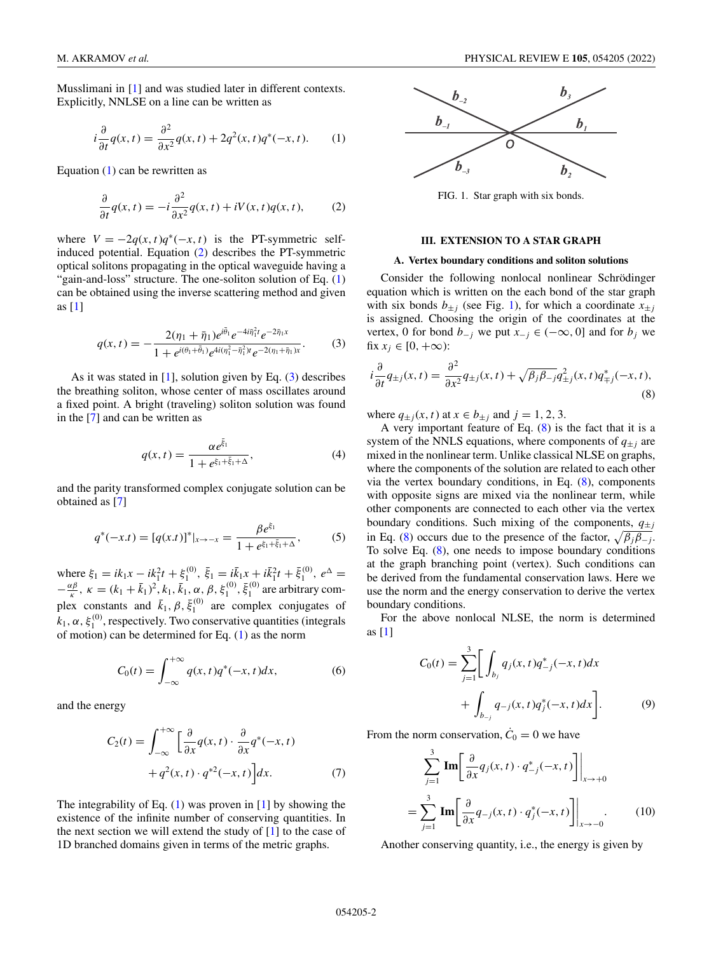<span id="page-1-0"></span>Musslimani in [\[1\]](#page-9-0) and was studied later in different contexts. Explicitly, NNLSE on a line can be written as

$$
i\frac{\partial}{\partial t}q(x,t) = \frac{\partial^2}{\partial x^2}q(x,t) + 2q^2(x,t)q^*(-x,t).
$$
 (1)

Equation (1) can be rewritten as

$$
\frac{\partial}{\partial t}q(x,t) = -i\frac{\partial^2}{\partial x^2}q(x,t) + iV(x,t)q(x,t),\tag{2}
$$

where  $V = -2q(x, t)q^*(-x, t)$  is the PT-symmetric selfinduced potential. Equation (2) describes the PT-symmetric optical solitons propagating in the optical waveguide having a "gain-and-loss" structure. The one-soliton solution of Eq. (1) can be obtained using the inverse scattering method and given as [\[1\]](#page-9-0)

$$
q(x,t) = -\frac{2(\eta_1 + \bar{\eta}_1)e^{i\bar{\theta}_1}e^{-4i\bar{\eta}_1^2 t}e^{-2\bar{\eta}_1 x}}{1 + e^{i(\theta_1 + \bar{\theta}_1)}e^{4i(\eta_1^2 - \bar{\eta}_1^2)t}e^{-2(\eta_1 + \bar{\eta}_1)x}}.
$$
(3)

As it was stated in [\[1\]](#page-9-0), solution given by Eq.  $(3)$  describes the breathing soliton, whose center of mass oscillates around a fixed point. A bright (traveling) soliton solution was found in the [\[7\]](#page-9-0) and can be written as

$$
q(x,t) = \frac{\alpha e^{\bar{\xi}_1}}{1 + e^{\xi_1 + \bar{\xi}_1 + \Delta}},
$$
\n(4)

and the parity transformed complex conjugate solution can be obtained as [\[7\]](#page-9-0)

$$
q^*(-x.t) = [q(x.t)]^*|_{x \to -x} = \frac{\beta e^{\xi_1}}{1 + e^{\xi_1 + \xi_1 + \Delta}},
$$
(5)

where  $\xi_1 = ik_1x - ik_1^2t + \xi_1^{(0)}$ ,  $\bar{\xi}_1 = ik_1x + ik_1^2t + \bar{\xi}_1^{(0)}$ ,  $e^{\Delta} =$  $-\frac{\alpha\beta}{\kappa}$ ,  $\kappa = (k_1 + \bar{k}_1)^2$ ,  $k_1$ ,  $\bar{k}_1$ , α, β,  $\xi_1^{(0)}$ ,  $\xi_1^{(0)}$  are arbitrary complex constants and  $\bar{k}_1$ ,  $\beta$ ,  $\bar{\xi}_1^{(0)}$  are complex conjugates of  $k_1, \alpha, \xi_1^{(0)}$ , respectively. Two conservative quantities (integrals of motion) can be determined for Eq.  $(1)$  as the norm

$$
C_0(t) = \int_{-\infty}^{+\infty} q(x, t) q^*(-x, t) dx,
$$
 (6)

and the energy

$$
C_2(t) = \int_{-\infty}^{+\infty} \left[ \frac{\partial}{\partial x} q(x, t) \cdot \frac{\partial}{\partial x} q^*(-x, t) + q^2(x, t) \cdot q^{*2}(-x, t) \right] dx.
$$
 (7)

The integrability of Eq.  $(1)$  was proven in  $[1]$  by showing the existence of the infinite number of conserving quantities. In the next section we will extend the study of  $[1]$  to the case of 1D branched domains given in terms of the metric graphs.



FIG. 1. Star graph with six bonds.

### **III. EXTENSION TO A STAR GRAPH**

## **A. Vertex boundary conditions and soliton solutions**

Consider the following nonlocal nonlinear Schrödinger equation which is written on the each bond of the star graph with six bonds  $b_{\pm j}$  (see Fig. 1), for which a coordinate  $x_{\pm j}$ is assigned. Choosing the origin of the coordinates at the vertex, 0 for bond  $b_{-j}$  we put  $x_{-j} \in (-\infty, 0]$  and for  $b_j$  we fix  $x_j \in [0, +\infty)$ :

$$
i\frac{\partial}{\partial t}q_{\pm j}(x,t) = \frac{\partial^2}{\partial x^2}q_{\pm j}(x,t) + \sqrt{\beta_j \beta_{-j}}q_{\pm j}^2(x,t)q_{\mp j}^*(-x,t),\tag{8}
$$

where  $q_{\pm i}(x, t)$  at  $x \in b_{\pm i}$  and  $j = 1, 2, 3$ .

A very important feature of Eq.  $(8)$  is the fact that it is a system of the NNLS equations, where components of  $q_{\pm j}$  are mixed in the nonlinear term. Unlike classical NLSE on graphs, where the components of the solution are related to each other via the vertex boundary conditions, in Eq.  $(8)$ , components with opposite signs are mixed via the nonlinear term, while other components are connected to each other via the vertex boundary conditions. Such mixing of the components,  $q_{\pm j}$ in Eq. (8) occurs due to the presence of the factor,  $\sqrt{\beta_i \beta_{-i}}$ . To solve Eq. (8), one needs to impose boundary conditions at the graph branching point (vertex). Such conditions can be derived from the fundamental conservation laws. Here we use the norm and the energy conservation to derive the vertex boundary conditions.

For the above nonlocal NLSE, the norm is determined as [\[1\]](#page-9-0)

$$
C_0(t) = \sum_{j=1}^3 \left[ \int_{b_j} q_j(x, t) q_{-j}^*(-x, t) dx + \int_{b_{-j}} q_{-j}(x, t) q_j^*(-x, t) dx \right].
$$
 (9)

From the norm conservation,  $\dot{C}_0 = 0$  we have

$$
\sum_{j=1}^{3} \text{Im} \left[ \frac{\partial}{\partial x} q_j(x, t) \cdot q_{-j}^*(-x, t) \right] \Big|_{x \to +0}
$$

$$
= \sum_{j=1}^{3} \text{Im} \left[ \frac{\partial}{\partial x} q_{-j}(x, t) \cdot q_j^*(-x, t) \right] \Big|_{x \to -0}.
$$
(10)

Another conserving quantity, i.e., the energy is given by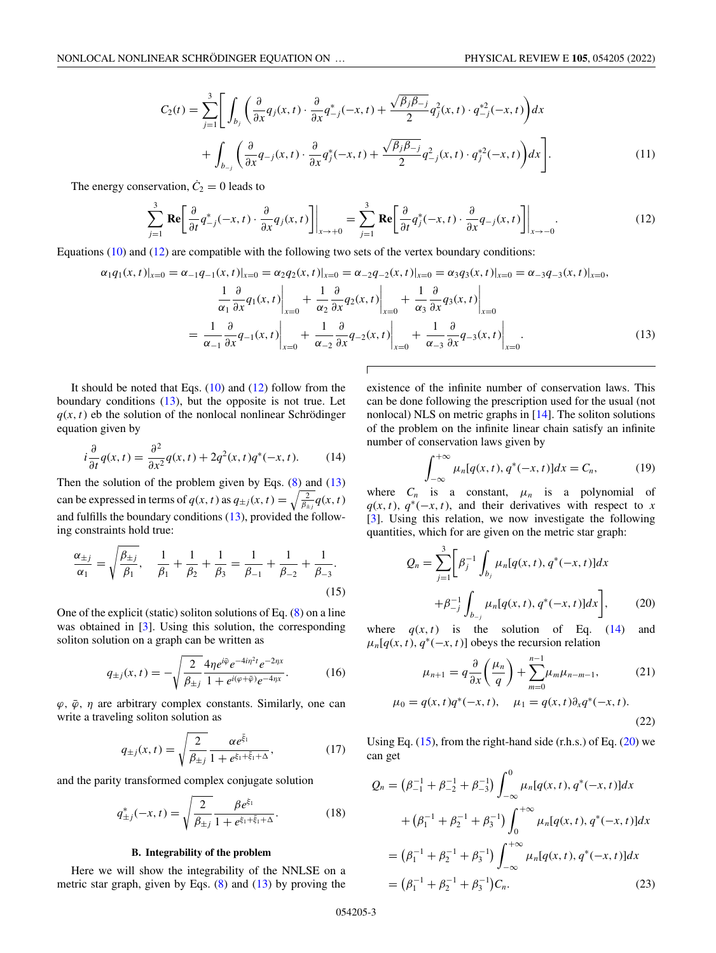<span id="page-2-0"></span>
$$
C_2(t) = \sum_{j=1}^3 \left[ \int_{b_j} \left( \frac{\partial}{\partial x} q_j(x, t) \cdot \frac{\partial}{\partial x} q_{-j}^*(-x, t) + \frac{\sqrt{\beta_j \beta_{-j}}}{2} q_j^2(x, t) \cdot q_{-j}^{*2}(-x, t) \right) dx \right. \\
\left. + \int_{b_{-j}} \left( \frac{\partial}{\partial x} q_{-j}(x, t) \cdot \frac{\partial}{\partial x} q_j^*(-x, t) + \frac{\sqrt{\beta_j \beta_{-j}}}{2} q_{-j}^2(x, t) \cdot q_j^{*2}(-x, t) \right) dx \right].
$$
\n(11)

The energy conservation,  $\dot{C}_2 = 0$  leads to

$$
\sum_{j=1}^{3} \mathbf{Re} \left[ \frac{\partial}{\partial t} q_{-j}^{*}(-x, t) \cdot \frac{\partial}{\partial x} q_{j}(x, t) \right] \Big|_{x \to +0} = \sum_{j=1}^{3} \mathbf{Re} \left[ \frac{\partial}{\partial t} q_{j}^{*}(-x, t) \cdot \frac{\partial}{\partial x} q_{-j}(x, t) \right] \Big|_{x \to -0}.
$$
 (12)

Equations [\(10\)](#page-1-0) and (12) are compatible with the following two sets of the vertex boundary conditions:

$$
\alpha_1 q_1(x,t)|_{x=0} = \alpha_{-1} q_{-1}(x,t)|_{x=0} = \alpha_2 q_2(x,t)|_{x=0} = \alpha_{-2} q_{-2}(x,t)|_{x=0} = \alpha_3 q_3(x,t)|_{x=0} = \alpha_{-3} q_{-3}(x,t)|_{x=0},
$$
  

$$
\frac{1}{\alpha_1} \frac{\partial}{\partial x} q_1(x,t)|_{x=0} + \frac{1}{\alpha_2} \frac{\partial}{\partial x} q_2(x,t)|_{x=0} + \frac{1}{\alpha_3} \frac{\partial}{\partial x} q_3(x,t)|_{x=0}
$$
  

$$
= \frac{1}{\alpha_{-1}} \frac{\partial}{\partial x} q_{-1}(x,t)|_{x=0} + \frac{1}{\alpha_{-2}} \frac{\partial}{\partial x} q_{-2}(x,t)|_{x=0} + \frac{1}{\alpha_{-3}} \frac{\partial}{\partial x} q_{-3}(x,t)|_{x=0}.
$$
 (13)

It should be noted that Eqs.  $(10)$  and  $(12)$  follow from the boundary conditions  $(13)$ , but the opposite is not true. Let  $q(x, t)$  eb the solution of the nonlocal nonlinear Schrödinger equation given by

$$
i\frac{\partial}{\partial t}q(x,t) = \frac{\partial^2}{\partial x^2}q(x,t) + 2q^2(x,t)q^*(-x,t). \tag{14}
$$

Then the solution of the problem given by Eqs.  $(8)$  and  $(13)$ can be expressed in terms of  $q(x, t)$  as  $q_{\pm j}(x, t) = \sqrt{\frac{2}{\beta_{\pm j}}} q(x, t)$ and fulfills the boundary conditions (13), provided the following constraints hold true:

$$
\frac{\alpha_{\pm j}}{\alpha_1} = \sqrt{\frac{\beta_{\pm j}}{\beta_1}}, \quad \frac{1}{\beta_1} + \frac{1}{\beta_2} + \frac{1}{\beta_3} = \frac{1}{\beta_{-1}} + \frac{1}{\beta_{-2}} + \frac{1}{\beta_{-3}}.
$$
\n(15)

One of the explicit (static) soliton solutions of Eq.  $(8)$  on a line was obtained in [\[3\]](#page-9-0). Using this solution, the corresponding soliton solution on a graph can be written as

$$
q_{\pm j}(x,t) = -\sqrt{\frac{2}{\beta_{\pm j}}} \frac{4\eta e^{i\bar{\varphi}} e^{-4i\eta^2 t} e^{-2\eta x}}{1 + e^{i(\varphi + \bar{\varphi})} e^{-4\eta x}}.
$$
 (16)

 $\varphi$ ,  $\bar{\varphi}$ ,  $\eta$  are arbitrary complex constants. Similarly, one can write a traveling soliton solution as

$$
q_{\pm j}(x,t) = \sqrt{\frac{2}{\beta_{\pm j}}} \frac{\alpha e^{\bar{\xi}_1}}{1 + e^{\xi_1 + \bar{\xi}_1 + \Delta}},
$$
(17)

and the parity transformed complex conjugate solution

$$
q_{\pm j}^*(-x,t) = \sqrt{\frac{2}{\beta_{\pm j}} \frac{\beta e^{\xi_1}}{1 + e^{\xi_1 + \bar{\xi}_1 + \Delta}}}.
$$
 (18)

## **B. Integrability of the problem**

Here we will show the integrability of the NNLSE on a metric star graph, given by Eqs. [\(8\)](#page-1-0) and (13) by proving the existence of the infinite number of conservation laws. This can be done following the prescription used for the usual (not nonlocal) NLS on metric graphs in [\[14\]](#page-9-0). The soliton solutions of the problem on the infinite linear chain satisfy an infinite number of conservation laws given by

$$
\int_{-\infty}^{+\infty} \mu_n[q(x, t), q^*(-x, t)] dx = C_n,
$$
 (19)

where  $C_n$  is a constant,  $\mu_n$  is a polynomial of  $q(x, t)$ ,  $q^*(-x, t)$ , and their derivatives with respect to *x* [\[3\]](#page-9-0). Using this relation, we now investigate the following quantities, which for are given on the metric star graph:

$$
Q_n = \sum_{j=1}^3 \left[ \beta_j^{-1} \int_{b_j} \mu_n[q(x, t), q^*(-x, t)] dx + \beta_{-j}^{-1} \int_{b_{-j}} \mu_n[q(x, t), q^*(-x, t)] dx \right],
$$
 (20)

where  $q(x, t)$  is the solution of Eq. (14) and  $\mu_n[q(x, t), q^*(-x, t)]$  obeys the recursion relation

$$
\mu_{n+1} = q \frac{\partial}{\partial x} \left( \frac{\mu_n}{q} \right) + \sum_{m=0}^{n-1} \mu_m \mu_{n-m-1},\tag{21}
$$

$$
\mu_0 = q(x, t)q^*(-x, t), \quad \mu_1 = q(x, t)\partial_x q^*(-x, t).
$$
\n(22)

Using Eq.  $(15)$ , from the right-hand side  $(r.h.s.)$  of Eq.  $(20)$  we can get

$$
Q_n = (\beta_{-1}^{-1} + \beta_{-2}^{-1} + \beta_{-3}^{-1}) \int_{-\infty}^0 \mu_n[q(x, t), q^*(-x, t)] dx
$$
  
+ 
$$
(\beta_1^{-1} + \beta_2^{-1} + \beta_3^{-1}) \int_0^{+\infty} \mu_n[q(x, t), q^*(-x, t)] dx
$$
  
= 
$$
(\beta_1^{-1} + \beta_2^{-1} + \beta_3^{-1}) \int_{-\infty}^{+\infty} \mu_n[q(x, t), q^*(-x, t)] dx
$$
  
= 
$$
(\beta_1^{-1} + \beta_2^{-1} + \beta_3^{-1}) C_n.
$$
 (23)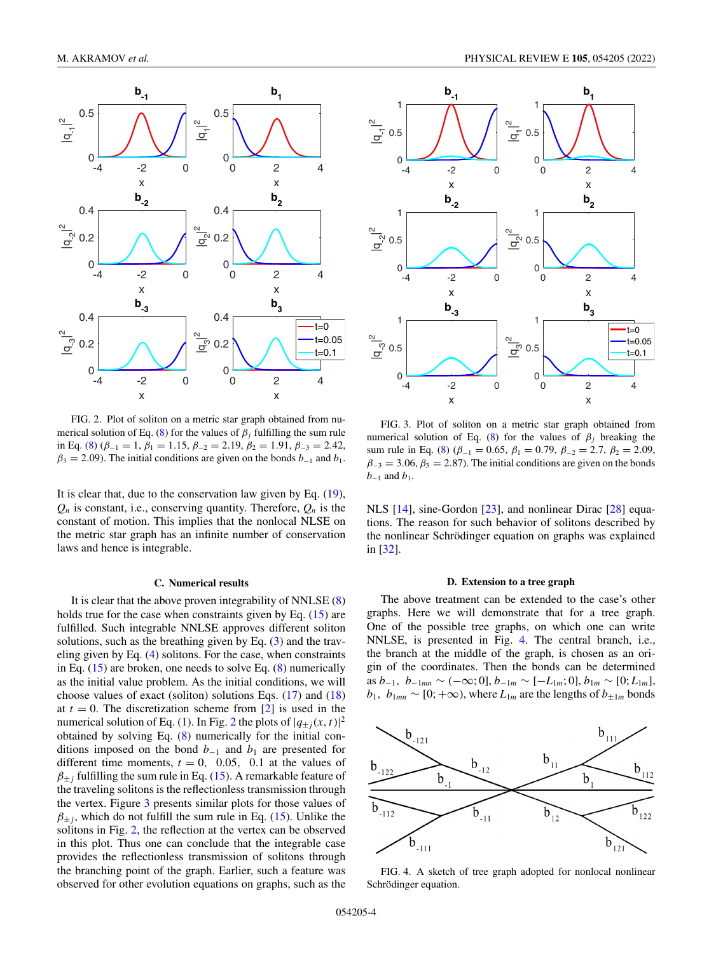<span id="page-3-0"></span>

FIG. 2. Plot of soliton on a metric star graph obtained from nu-merical solution of Eq. [\(8\)](#page-1-0) for the values of  $\beta$ <sub>*j*</sub> fulfilling the sum rule in Eq. [\(8\)](#page-1-0) ( $\beta_{-1} = 1$ ,  $\beta_1 = 1.15$ ,  $\beta_{-2} = 2.19$ ,  $\beta_2 = 1.91$ ,  $\beta_{-3} = 2.42$ ,  $\beta_3 = 2.09$ ). The initial conditions are given on the bonds  $b_{-1}$  and  $b_1$ .

It is clear that, due to the conservation law given by Eq. [\(19\)](#page-2-0),  $Q_n$  is constant, i.e., conserving quantity. Therefore,  $Q_n$  is the constant of motion. This implies that the nonlocal NLSE on the metric star graph has an infinite number of conservation laws and hence is integrable.

#### **C. Numerical results**

It is clear that the above proven integrability of NNLSE [\(8\)](#page-1-0) holds true for the case when constraints given by Eq. [\(15\)](#page-2-0) are fulfilled. Such integrable NNLSE approves different soliton solutions, such as the breathing given by Eq.  $(3)$  and the traveling given by Eq. [\(4\)](#page-1-0) solitons. For the case, when constraints in Eq.  $(15)$  are broken, one needs to solve Eq.  $(8)$  numerically as the initial value problem. As the initial conditions, we will choose values of exact (soliton) solutions Eqs.  $(17)$  and  $(18)$ at  $t = 0$ . The discretization scheme from [\[2\]](#page-9-0) is used in the numerical solution of Eq. [\(1\)](#page-1-0). In Fig. 2 the plots of  $|q_{\pm j}(x, t)|^2$ obtained by solving Eq. [\(8\)](#page-1-0) numerically for the initial conditions imposed on the bond  $b_{-1}$  and  $b_1$  are presented for different time moments,  $t = 0$ , 0.05, 0.1 at the values of  $\beta_{\pm}$ *j* fulfilling the sum rule in Eq. [\(15\)](#page-2-0). A remarkable feature of the traveling solitons is the reflectionless transmission through the vertex. Figure 3 presents similar plots for those values of  $\beta_{\pm i}$ , which do not fulfill the sum rule in Eq. [\(15\)](#page-2-0). Unlike the solitons in Fig. 2, the reflection at the vertex can be observed in this plot. Thus one can conclude that the integrable case provides the reflectionless transmission of solitons through the branching point of the graph. Earlier, such a feature was observed for other evolution equations on graphs, such as the



FIG. 3. Plot of soliton on a metric star graph obtained from numerical solution of Eq. [\(8\)](#page-1-0) for the values of  $\beta_i$  breaking the sum rule in Eq. [\(8\)](#page-1-0) ( $\beta_{-1} = 0.65$ ,  $\beta_1 = 0.79$ ,  $\beta_{-2} = 2.7$ ,  $\beta_2 = 2.09$ ,  $\beta_{-3} = 3.06$ ,  $\beta_3 = 2.87$ ). The initial conditions are given on the bonds *b*<sup>−1</sup> and *b*<sup>1</sup>.

NLS [\[14\]](#page-9-0), sine-Gordon [\[23\]](#page-9-0), and nonlinear Dirac [\[28\]](#page-9-0) equations. The reason for such behavior of solitons described by the nonlinear Schrödinger equation on graphs was explained in [\[32\]](#page-9-0).

#### **D. Extension to a tree graph**

The above treatment can be extended to the case's other graphs. Here we will demonstrate that for a tree graph. One of the possible tree graphs, on which one can write NNLSE, is presented in Fig. 4. The central branch, i.e., the branch at the middle of the graph, is chosen as an origin of the coordinates. Then the bonds can be determined as *b*<sup>−</sup>1, *b*<sup>−</sup>1*mn* ∼ (−∞; 0], *b*<sup>−</sup>1*<sup>m</sup>* ∼ [−*L*1*<sup>m</sup>*; 0], *b*1*<sup>m</sup>* ∼ [0; *L*1*<sup>m</sup>*],  $b_1$ ,  $b_{1mn} \sim [0; +\infty)$ , where  $L_{1m}$  are the lengths of  $b_{\pm 1m}$  bonds



FIG. 4. A sketch of tree graph adopted for nonlocal nonlinear Schrödinger equation.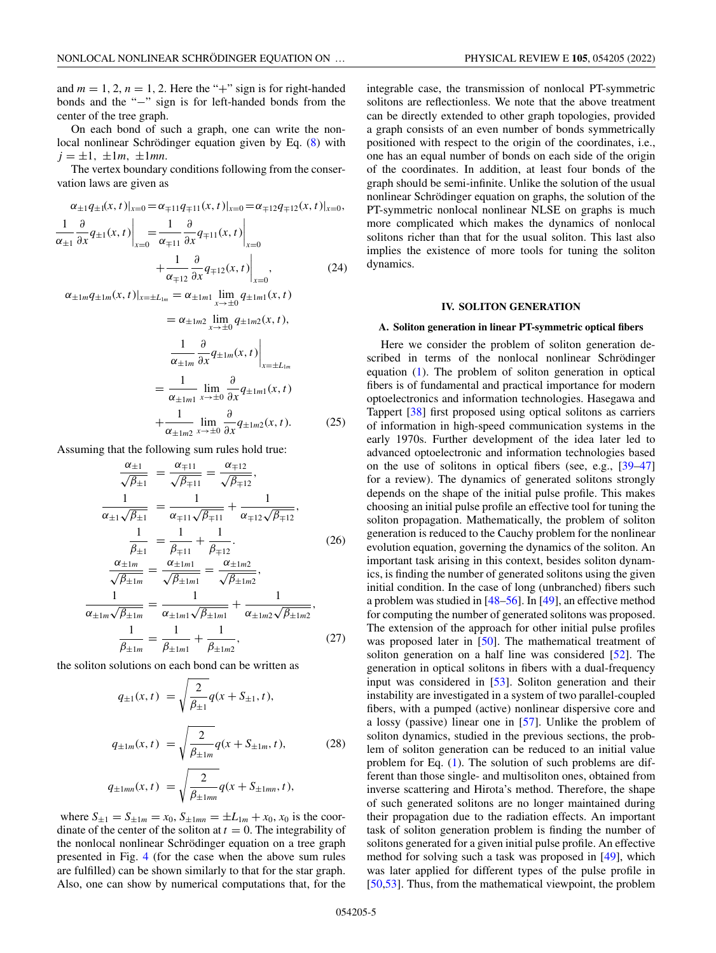<span id="page-4-0"></span>and  $m = 1, 2, n = 1, 2$ . Here the "+" sign is for right-handed bonds and the "−" sign is for left-handed bonds from the center of the tree graph.

On each bond of such a graph, one can write the nonlocal nonlinear Schrödinger equation given by Eq. [\(8\)](#page-1-0) with  $j = \pm 1, \pm 1m, \pm 1mn.$ 

The vertex boundary conditions following from the conservation laws are given as

$$
\alpha_{\pm 1} q_{\pm 1}(x, t)|_{x=0} = \alpha_{\mp 11} q_{\mp 11}(x, t)|_{x=0} = \alpha_{\mp 12} q_{\mp 12}(x, t)|_{x=0},
$$
  

$$
\frac{1}{\alpha_{\pm 1}} \frac{\partial}{\partial x} q_{\pm 1}(x, t)|_{x=0} = \frac{1}{\alpha_{\mp 11}} \frac{\partial}{\partial x} q_{\mp 11}(x, t)|_{x=0}
$$
  

$$
+ \frac{1}{\alpha_{\mp 12}} \frac{\partial}{\partial x} q_{\mp 12}(x, t)|_{x=0},
$$
(24)

$$
\alpha_{\pm 1m} q_{\pm 1m}(x, t)|_{x=\pm L_{1m}} = \alpha_{\pm 1m1} \lim_{x \to \pm 0} q_{\pm 1m1}(x, t)
$$

$$
= \alpha_{\pm 1m2} \lim_{x \to \pm 0} q_{\pm 1m2}(x, t),
$$

$$
\frac{1}{\alpha_{\pm 1m}} \frac{\partial}{\partial x} q_{\pm 1m}(x, t)|_{x=\pm L_{1m}}
$$

$$
= \frac{1}{\alpha_{\pm 1m1}} \lim_{x \to \pm 0} \frac{\partial}{\partial x} q_{\pm 1m1}(x, t)
$$

$$
+ \frac{1}{\alpha_{\pm 1m2}} \lim_{x \to \pm 0} \frac{\partial}{\partial x} q_{\pm 1m2}(x, t). \tag{25}
$$

Assuming that the following sum rules hold true:

$$
\frac{\alpha_{\pm 1}}{\sqrt{\beta_{\pm 1}}} = \frac{\alpha_{\mp 11}}{\sqrt{\beta_{\mp 11}}} = \frac{\alpha_{\mp 12}}{\sqrt{\beta_{\mp 12}}},
$$
\n
$$
\frac{1}{\alpha_{\pm 1}\sqrt{\beta_{\pm 1}}} = \frac{1}{\alpha_{\mp 11}\sqrt{\beta_{\mp 11}}} + \frac{1}{\alpha_{\mp 12}\sqrt{\beta_{\mp 12}}},
$$
\n
$$
\frac{1}{\beta_{\pm 1}} = \frac{1}{\beta_{\mp 11}} + \frac{1}{\beta_{\mp 12}}.
$$
\n
$$
\frac{\alpha_{\pm 1m}}{\sqrt{\beta_{\pm 1m}}} = \frac{\alpha_{\pm 1m1}}{\sqrt{\beta_{\pm 1m1}}} = \frac{\alpha_{\pm 1m2}}{\sqrt{\beta_{\pm 1m2}}},
$$
\n
$$
\frac{1}{\alpha_{\pm 1m}\sqrt{\beta_{\pm 1m}}} = \frac{1}{\alpha_{\pm 1m1}\sqrt{\beta_{\pm 1m1}}} + \frac{1}{\alpha_{\pm 1m2}\sqrt{\beta_{\pm 1m2}}},
$$
\n
$$
\frac{1}{\beta_{\pm 1m}} = \frac{1}{\beta_{\pm 1m1}} + \frac{1}{\beta_{\pm 1m2}},
$$
\n(27)

the soliton solutions on each bond can be written as

$$
q_{\pm 1}(x, t) = \sqrt{\frac{2}{\beta_{\pm 1}}} q(x + S_{\pm 1}, t),
$$
  
\n
$$
q_{\pm 1m}(x, t) = \sqrt{\frac{2}{\beta_{\pm 1m}}} q(x + S_{\pm 1m}, t),
$$
\n
$$
q_{\pm 1mn}(x, t) = \sqrt{\frac{2}{\beta_{\pm 1mn}}} q(x + S_{\pm 1mn}, t),
$$
\n(28)

where  $S_{\pm 1} = S_{\pm 1m} = x_0$ ,  $S_{\pm 1mn} = \pm L_{1m} + x_0$ ,  $x_0$  is the coordinate of the center of the soliton at  $t = 0$ . The integrability of the nonlocal nonlinear Schrödinger equation on a tree graph presented in Fig. [4](#page-3-0) (for the case when the above sum rules are fulfilled) can be shown similarly to that for the star graph. Also, one can show by numerical computations that, for the

integrable case, the transmission of nonlocal PT-symmetric solitons are reflectionless. We note that the above treatment can be directly extended to other graph topologies, provided a graph consists of an even number of bonds symmetrically positioned with respect to the origin of the coordinates, i.e., one has an equal number of bonds on each side of the origin of the coordinates. In addition, at least four bonds of the graph should be semi-infinite. Unlike the solution of the usual nonlinear Schrödinger equation on graphs, the solution of the PT-symmetric nonlocal nonlinear NLSE on graphs is much more complicated which makes the dynamics of nonlocal solitons richer than that for the usual soliton. This last also implies the existence of more tools for tuning the soliton dynamics.

### **IV. SOLITON GENERATION**

### **A. Soliton generation in linear PT-symmetric optical fibers**

Here we consider the problem of soliton generation described in terms of the nonlocal nonlinear Schrödinger equation [\(1\)](#page-1-0). The problem of soliton generation in optical fibers is of fundamental and practical importance for modern optoelectronics and information technologies. Hasegawa and Tappert [\[38\]](#page-9-0) first proposed using optical solitons as carriers of information in high-speed communication systems in the early 1970s. Further development of the idea later led to advanced optoelectronic and information technologies based on the use of solitons in optical fibers (see, e.g., [\[39–47\]](#page-9-0) for a review). The dynamics of generated solitons strongly depends on the shape of the initial pulse profile. This makes choosing an initial pulse profile an effective tool for tuning the soliton propagation. Mathematically, the problem of soliton generation is reduced to the Cauchy problem for the nonlinear evolution equation, governing the dynamics of the soliton. An important task arising in this context, besides soliton dynamics, is finding the number of generated solitons using the given initial condition. In the case of long (unbranched) fibers such a problem was studied in [\[48–56\]](#page-9-0). In [\[49\]](#page-9-0), an effective method for computing the number of generated solitons was proposed. The extension of the approach for other initial pulse profiles was proposed later in [\[50\]](#page-9-0). The mathematical treatment of soliton generation on a half line was considered [\[52\]](#page-9-0). The generation in optical solitons in fibers with a dual-frequency input was considered in [\[53\]](#page-9-0). Soliton generation and their instability are investigated in a system of two parallel-coupled fibers, with a pumped (active) nonlinear dispersive core and a lossy (passive) linear one in [\[57\]](#page-9-0). Unlike the problem of soliton dynamics, studied in the previous sections, the problem of soliton generation can be reduced to an initial value problem for Eq. [\(1\)](#page-1-0). The solution of such problems are different than those single- and multisoliton ones, obtained from inverse scattering and Hirota's method. Therefore, the shape of such generated solitons are no longer maintained during their propagation due to the radiation effects. An important task of soliton generation problem is finding the number of solitons generated for a given initial pulse profile. An effective method for solving such a task was proposed in [\[49\]](#page-9-0), which was later applied for different types of the pulse profile in [\[50,53\]](#page-9-0). Thus, from the mathematical viewpoint, the problem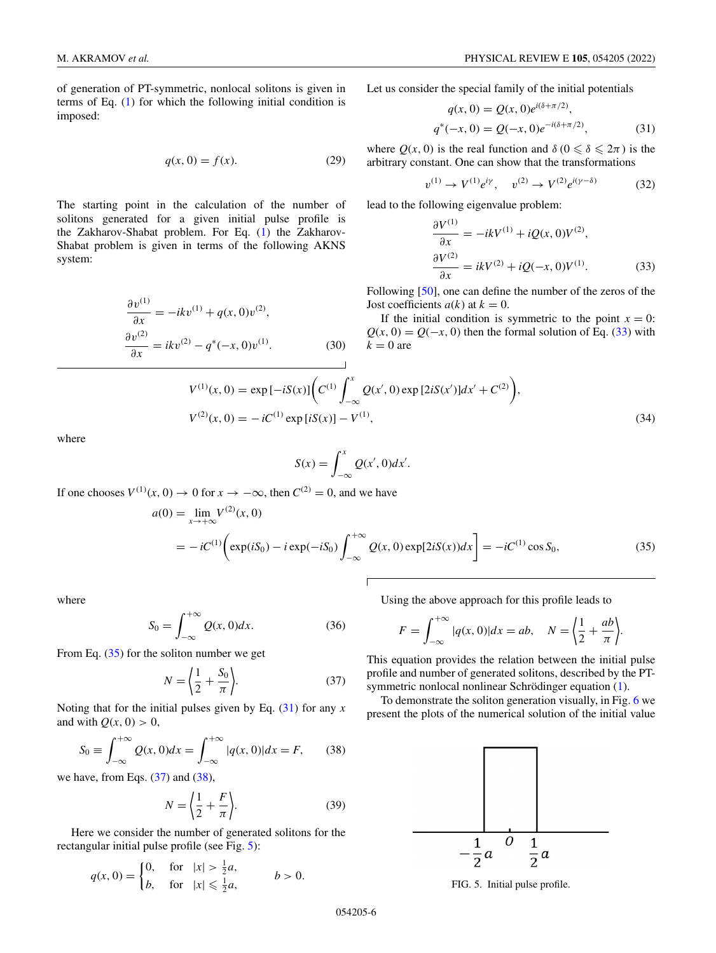<span id="page-5-0"></span>of generation of PT-symmetric, nonlocal solitons is given in terms of Eq. [\(1\)](#page-1-0) for which the following initial condition is imposed:

$$
q(x,0) = f(x). \tag{29}
$$

The starting point in the calculation of the number of solitons generated for a given initial pulse profile is the Zakharov-Shabat problem. For Eq. [\(1\)](#page-1-0) the Zakharov-Shabat problem is given in terms of the following AKNS system:

$$
\frac{\partial v^{(1)}}{\partial x} = -ikv^{(1)} + q(x, 0)v^{(2)},
$$
  
\n
$$
\frac{\partial v^{(2)}}{\partial x} = ikv^{(2)} - q^*(-x, 0)v^{(1)}.
$$
\n(30)

Let us consider the special family of the initial potentials

$$
q(x, 0) = Q(x, 0)e^{i(\delta + \pi/2)},
$$
  
\n
$$
q^*(-x, 0) = Q(-x, 0)e^{-i(\delta + \pi/2)},
$$
\n(31)

where  $Q(x, 0)$  is the real function and  $\delta (0 \le \delta \le 2\pi)$  is the arbitrary constant. One can show that the transformations

$$
v^{(1)} \to V^{(1)} e^{i\gamma}, \quad v^{(2)} \to V^{(2)} e^{i(\gamma - \delta)} \tag{32}
$$

lead to the following eigenvalue problem:

$$
\frac{\partial V^{(1)}}{\partial x} = -ikV^{(1)} + iQ(x, 0)V^{(2)},
$$
  
\n
$$
\frac{\partial V^{(2)}}{\partial x} = ikV^{(2)} + iQ(-x, 0)V^{(1)}.
$$
 (33)

Following [\[50\]](#page-9-0), one can define the number of the zeros of the Jost coefficients  $a(k)$  at  $k = 0$ .

If the initial condition is symmetric to the point  $x = 0$ :  $Q(x, 0) = Q(-x, 0)$  then the formal solution of Eq. (33) with  $k = 0$  are

$$
V^{(1)}(x, 0) = \exp[-iS(x)] \bigg( C^{(1)} \int_{-\infty}^{x} Q(x', 0) \exp[2iS(x')] dx' + C^{(2)} \bigg),
$$
  
\n
$$
V^{(2)}(x, 0) = -iC^{(1)} \exp[iS(x)] - V^{(1)},
$$
\n(34)

where

$$
S(x) = \int_{-\infty}^{x} Q(x', 0) dx'.
$$

 $\Gamma$ 

If one chooses  $V^{(1)}(x, 0) \to 0$  for  $x \to -\infty$ , then  $C^{(2)} = 0$ , and we have

$$
a(0) = \lim_{x \to +\infty} V^{(2)}(x, 0)
$$
  
=  $-iC^{(1)} \left( \exp(iS_0) - i \exp(-iS_0) \int_{-\infty}^{+\infty} Q(x, 0) \exp[2iS(x)) dx \right) = -iC^{(1)} \cos S_0,$  (35)

where

$$
S_0 = \int_{-\infty}^{+\infty} Q(x, 0) dx.
$$
 (36)

From Eq.  $(35)$  for the soliton number we get

$$
N = \left\langle \frac{1}{2} + \frac{S_0}{\pi} \right\rangle. \tag{37}
$$

Noting that for the initial pulses given by Eq. (31) for any *x* and with  $Q(x, 0) > 0$ ,

$$
S_0 \equiv \int_{-\infty}^{+\infty} Q(x, 0) dx = \int_{-\infty}^{+\infty} |q(x, 0)| dx = F,
$$
 (38)

we have, from Eqs.  $(37)$  and  $(38)$ ,

$$
N = \left\langle \frac{1}{2} + \frac{F}{\pi} \right\rangle. \tag{39}
$$

Here we consider the number of generated solitons for the rectangular initial pulse profile (see Fig. 5):

$$
q(x, 0) = \begin{cases} 0, & \text{for} \quad |x| > \frac{1}{2}a, \\ b, & \text{for} \quad |x| \leq \frac{1}{2}a, \end{cases} \qquad b > 0.
$$

Using the above approach for this profile leads to

$$
F = \int_{-\infty}^{+\infty} |q(x,0)| dx = ab, \quad N = \left\langle \frac{1}{2} + \frac{ab}{\pi} \right\rangle.
$$

This equation provides the relation between the initial pulse profile and number of generated solitons, described by the PTsymmetric nonlocal nonlinear Schrödinger equation [\(1\)](#page-1-0).

To demonstrate the soliton generation visually, in Fig. [6](#page-6-0) we present the plots of the numerical solution of the initial value



FIG. 5. Initial pulse profile.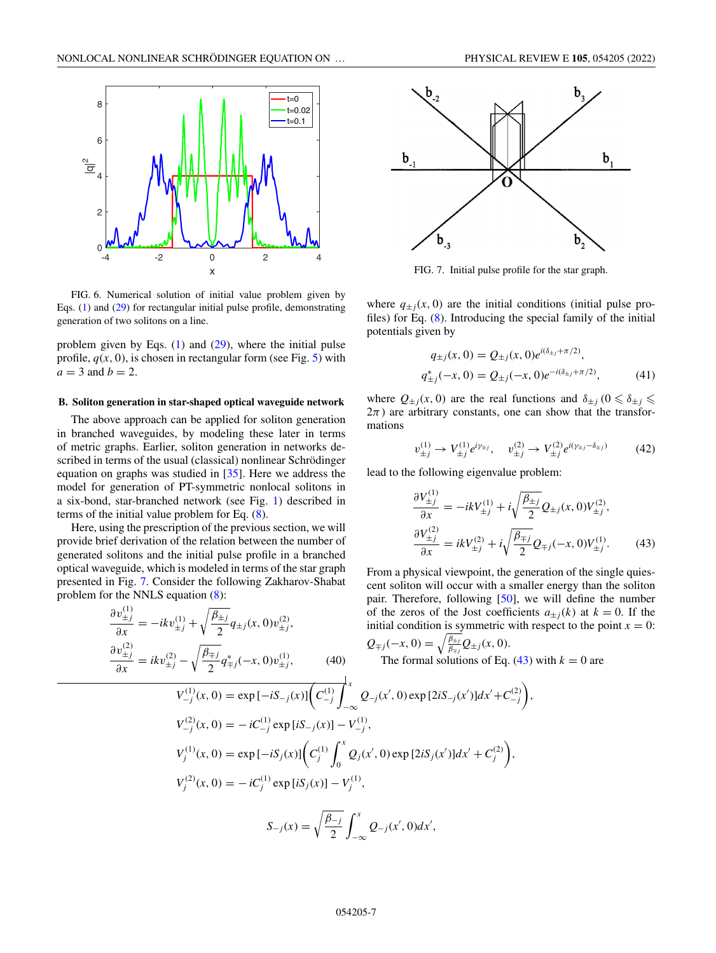<span id="page-6-0"></span>

FIG. 6. Numerical solution of initial value problem given by Eqs. [\(1\)](#page-1-0) and [\(29\)](#page-5-0) for rectangular initial pulse profile, demonstrating generation of two solitons on a line.

problem given by Eqs. [\(1\)](#page-1-0) and [\(29\)](#page-5-0), where the initial pulse profile,  $q(x, 0)$ , is chosen in rectangular form (see Fig. [5\)](#page-5-0) with  $a = 3$  and  $b = 2$ .

### **B. Soliton generation in star-shaped optical waveguide network**

The above approach can be applied for soliton generation in branched waveguides, by modeling these later in terms of metric graphs. Earlier, soliton generation in networks described in terms of the usual (classical) nonlinear Schrödinger equation on graphs was studied in [\[35\]](#page-9-0). Here we address the model for generation of PT-symmetric nonlocal solitons in a six-bond, star-branched network (see Fig. [1\)](#page-1-0) described in terms of the initial value problem for Eq. [\(8\)](#page-1-0).

Here, using the prescription of the previous section, we will provide brief derivation of the relation between the number of generated solitons and the initial pulse profile in a branched optical waveguide, which is modeled in terms of the star graph presented in Fig. 7. Consider the following Zakharov-Shabat problem for the NNLS equation [\(8\)](#page-1-0):

$$
\frac{\partial v_{\pm j}^{(1)}}{\partial x} = -ikv_{\pm j}^{(1)} + \sqrt{\frac{\beta_{\pm j}}{2}} q_{\pm j}(x, 0) v_{\pm j}^{(2)},
$$

$$
\frac{\partial v_{\pm j}^{(2)}}{\partial x} = ikv_{\pm j}^{(2)} - \sqrt{\frac{\beta_{\mp j}}{2}} q_{\mp j}^*(-x, 0) v_{\pm j}^{(1)},
$$
(40)



FIG. 7. Initial pulse profile for the star graph.

where  $q_{\pm i}(x, 0)$  are the initial conditions (initial pulse profiles) for Eq. [\(8\)](#page-1-0). Introducing the special family of the initial potentials given by

$$
q_{\pm j}(x, 0) = Q_{\pm j}(x, 0)e^{i(\delta_{\pm j} + \pi/2)},
$$
  
\n
$$
q_{\pm j}^*(-x, 0) = Q_{\pm j}(-x, 0)e^{-i(\delta_{\pm j} + \pi/2)},
$$
\n(41)

where  $Q_{\pm j}(x, 0)$  are the real functions and  $\delta_{\pm j}$  ( $0 \le \delta_{\pm j} \le$  $2\pi$ ) are arbitrary constants, one can show that the transformations

$$
v_{\pm j}^{(1)} \to V_{\pm j}^{(1)} e^{i\gamma_{\pm j}}, \quad v_{\pm j}^{(2)} \to V_{\pm j}^{(2)} e^{i(\gamma_{\pm j} - \delta_{\pm j})}
$$
(42)

lead to the following eigenvalue problem:

$$
\frac{\partial V_{\pm j}^{(1)}}{\partial x} = -ikV_{\pm j}^{(1)} + i\sqrt{\frac{\beta_{\pm j}}{2}} Q_{\pm j}(x,0)V_{\pm j}^{(2)}, \n\frac{\partial V_{\pm j}^{(2)}}{\partial x} = ikV_{\pm j}^{(2)} + i\sqrt{\frac{\beta_{\mp j}}{2}} Q_{\mp j}(-x,0)V_{\pm j}^{(1)}.
$$
\n(43)

,

From a physical viewpoint, the generation of the single quiescent soliton will occur with a smaller energy than the soliton pair. Therefore, following [\[50\]](#page-9-0), we will define the number of the zeros of the Jost coefficients  $a_{\pm i}(k)$  at  $k = 0$ . If the initial condition is symmetric with respect to the point  $x = 0$ :

$$
Q_{\mp j}(-x, 0) = \sqrt{\frac{\beta_{\pm j}}{\beta_{\mp j}}} Q_{\pm j}(x, 0).
$$
  
The formal solutions of Eq. (43) with  $k = 0$  are

$$
V_{-j}^{(1)}(x,0) = \exp[-iS_{-j}(x)] \left( C_{-j}^{(1)} \int_{-\infty}^{x} Q_{-j}(x',0) \exp[2iS_{-j}(x')] dx' + C_{-j}^{(2)} \right)
$$
  
\n
$$
V_{-j}^{(2)}(x,0) = -iC_{-j}^{(1)} \exp[iS_{-j}(x)] - V_{-j}^{(1)},
$$
  
\n
$$
V_{j}^{(1)}(x,0) = \exp[-iS_{j}(x)] \left( C_{j}^{(1)} \int_{0}^{x} Q_{j}(x',0) \exp[2iS_{j}(x')] dx' + C_{j}^{(2)} \right),
$$
  
\n
$$
V_{j}^{(2)}(x,0) = -iC_{j}^{(1)} \exp[iS_{j}(x)] - V_{j}^{(1)},
$$
  
\n
$$
S_{-j}(x) = \sqrt{\frac{\beta_{-j}}{2}} \int_{-\infty}^{x} Q_{-j}(x',0) dx',
$$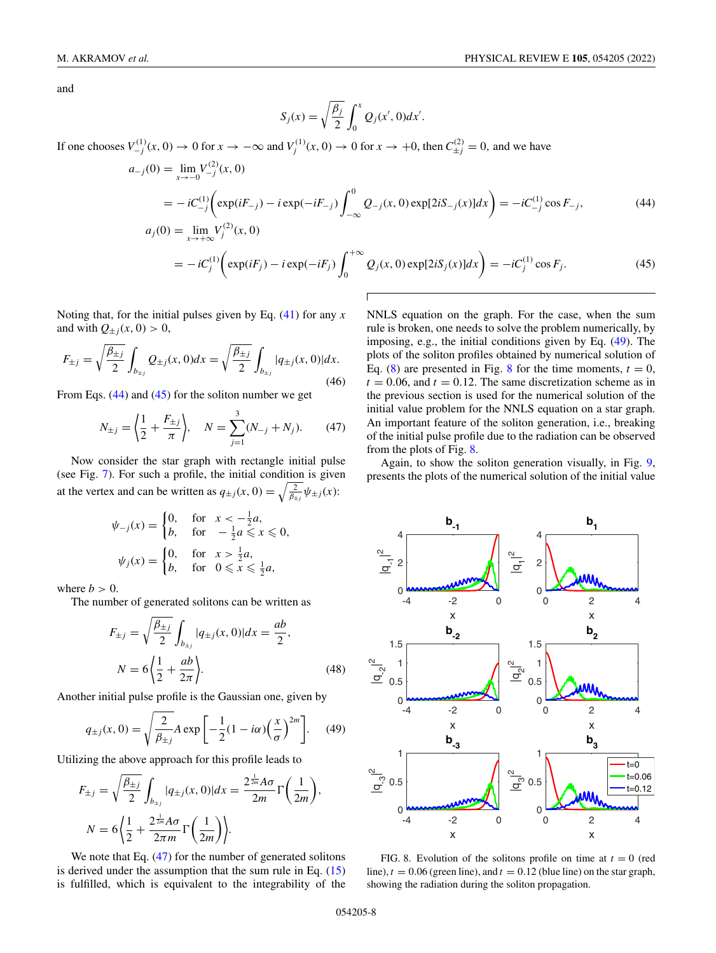<span id="page-7-0"></span>and

$$
S_j(x) = \sqrt{\frac{\beta_j}{2}} \int_0^x Q_j(x', 0) dx'.
$$

If one chooses  $V_{-j}^{(1)}(x,0) \to 0$  for  $x \to -\infty$  and  $V_j^{(1)}(x,0) \to 0$  for  $x \to +0$ , then  $C_{\pm j}^{(2)} = 0$ , and we have

$$
a_{-j}(0) = \lim_{x \to -0} V_{-j}^{(2)}(x, 0)
$$
  
=  $-iC_{-j}^{(1)} \left( \exp(iF_{-j}) - i \exp(-iF_{-j}) \int_{-\infty}^{0} Q_{-j}(x, 0) \exp[2iS_{-j}(x)] dx \right) = -iC_{-j}^{(1)} \cos F_{-j},$  (44)  

$$
a_{j}(0) = \lim_{x \to +\infty} V_{j}^{(2)}(x, 0)
$$

$$
= -iC_j^{(1)}\bigg(\exp(iF_j) - i\exp(-iF_j)\int_0^{+\infty} Q_j(x,0)\exp[2iS_j(x)]dx\bigg) = -iC_j^{(1)}\cos F_j.
$$
 (45)

Noting that, for the initial pulses given by Eq. [\(41\)](#page-6-0) for any *x* and with  $Q_{\pm j}(x, 0) > 0$ ,

$$
F_{\pm j} = \sqrt{\frac{\beta_{\pm j}}{2}} \int_{b_{\pm j}} Q_{\pm j}(x, 0) dx = \sqrt{\frac{\beta_{\pm j}}{2}} \int_{b_{\pm j}} |q_{\pm j}(x, 0)| dx.
$$
\n(46)

From Eqs. (44) and (45) for the soliton number we get

$$
N_{\pm j} = \left\langle \frac{1}{2} + \frac{F_{\pm j}}{\pi} \right\rangle, \quad N = \sum_{j=1}^{3} (N_{-j} + N_j). \tag{47}
$$

Now consider the star graph with rectangle initial pulse (see Fig. [7\)](#page-6-0). For such a profile, the initial condition is given at the vertex and can be written as  $q_{\pm j}(x, 0) = \sqrt{\frac{2}{\beta_{\pm j}}} \psi_{\pm j}(x)$ :

$$
\psi_{-j}(x) = \begin{cases} 0, & \text{for } x < -\frac{1}{2}a, \\ b, & \text{for } -\frac{1}{2}a \leq x \leq 0, \end{cases}
$$
\n
$$
\psi_j(x) = \begin{cases} 0, & \text{for } x > \frac{1}{2}a, \\ b, & \text{for } 0 \leq x \leq \frac{1}{2}a, \end{cases}
$$

where  $b > 0$ .

The number of generated solitons can be written as

$$
F_{\pm j} = \sqrt{\frac{\beta_{\pm j}}{2}} \int_{b_{\pm j}} |q_{\pm j}(x, 0)| dx = \frac{ab}{2},
$$
  

$$
N = 6 \left\langle \frac{1}{2} + \frac{ab}{2\pi} \right\rangle.
$$
 (48)

Another initial pulse profile is the Gaussian one, given by

$$
q_{\pm j}(x,0) = \sqrt{\frac{2}{\beta_{\pm j}}} A \exp\left[-\frac{1}{2}(1 - i\alpha)\left(\frac{x}{\sigma}\right)^{2m}\right].
$$
 (49)

Utilizing the above approach for this profile leads to

$$
F_{\pm j} = \sqrt{\frac{\beta_{\pm j}}{2}} \int_{b_{\pm j}} |q_{\pm j}(x, 0)| dx = \frac{2^{\frac{1}{2m}} A \sigma}{2m} \Gamma\left(\frac{1}{2m}\right),
$$
  

$$
N = 6 \left\langle \frac{1}{2} + \frac{2^{\frac{1}{2m}} A \sigma}{2\pi m} \Gamma\left(\frac{1}{2m}\right) \right\rangle.
$$

We note that Eq.  $(47)$  for the number of generated solitons is derived under the assumption that the sum rule in Eq. [\(15\)](#page-2-0) is fulfilled, which is equivalent to the integrability of the

NNLS equation on the graph. For the case, when the sum rule is broken, one needs to solve the problem numerically, by imposing, e.g., the initial conditions given by Eq. (49). The plots of the soliton profiles obtained by numerical solution of Eq. [\(8\)](#page-1-0) are presented in Fig. 8 for the time moments,  $t = 0$ ,  $t = 0.06$ , and  $t = 0.12$ . The same discretization scheme as in the previous section is used for the numerical solution of the initial value problem for the NNLS equation on a star graph. An important feature of the soliton generation, i.e., breaking of the initial pulse profile due to the radiation can be observed from the plots of Fig. 8.

Again, to show the soliton generation visually, in Fig. [9,](#page-8-0) presents the plots of the numerical solution of the initial value



FIG. 8. Evolution of the solitons profile on time at  $t = 0$  (red line),  $t = 0.06$  (green line), and  $t = 0.12$  (blue line) on the star graph, showing the radiation during the soliton propagation.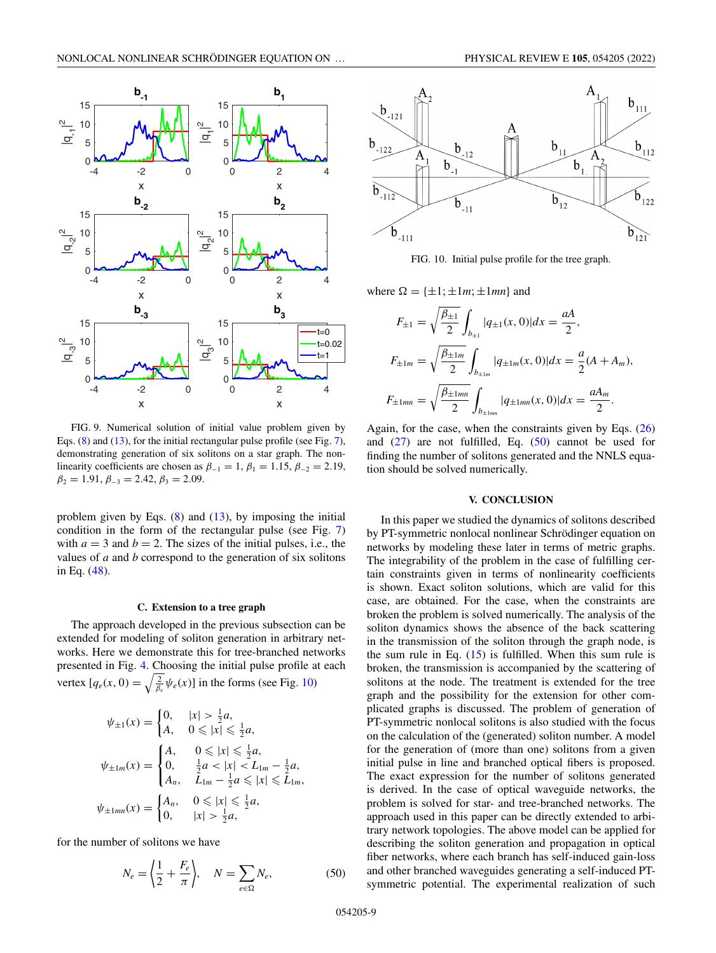<span id="page-8-0"></span>

FIG. 9. Numerical solution of initial value problem given by Eqs. [\(8\)](#page-1-0) and [\(13\)](#page-2-0), for the initial rectangular pulse profile (see Fig. [7\)](#page-6-0), demonstrating generation of six solitons on a star graph. The nonlinearity coefficients are chosen as  $\beta_{-1} = 1$ ,  $\beta_1 = 1.15$ ,  $\beta_{-2} = 2.19$ ,  $\beta_2 = 1.91, \beta_{-3} = 2.42, \beta_3 = 2.09.$ 

problem given by Eqs.  $(8)$  and  $(13)$ , by imposing the initial condition in the form of the rectangular pulse (see Fig. [7\)](#page-6-0) with  $a = 3$  and  $b = 2$ . The sizes of the initial pulses, i.e., the values of *a* and *b* correspond to the generation of six solitons in Eq. [\(48\)](#page-7-0).

#### **C. Extension to a tree graph**

The approach developed in the previous subsection can be extended for modeling of soliton generation in arbitrary networks. Here we demonstrate this for tree-branched networks presented in Fig. [4.](#page-3-0) Choosing the initial pulse profile at each vertex  $[q_e(x, 0) = \sqrt{\frac{2}{\beta_e}} \psi_e(x)]$  in the forms (see Fig. 10)

$$
\psi_{\pm 1}(x) = \begin{cases} 0, & |x| > \frac{1}{2}a, \\ A, & 0 \le |x| \le \frac{1}{2}a, \end{cases}
$$

$$
\psi_{\pm 1m}(x) = \begin{cases} A, & 0 \le |x| \le \frac{1}{2}a, \\ 0, & \frac{1}{2}a < |x| < L_{1m} - \frac{1}{2}a, \\ A_n, & L_{1m} - \frac{1}{2}a \le |x| \le L_{1m}, \end{cases}
$$

$$
\psi_{\pm 1mn}(x) = \begin{cases} A_n, & 0 \le |x| \le \frac{1}{2}a, \\ 0, & |x| > \frac{1}{2}a, \end{cases}
$$

for the number of solitons we have

$$
N_e = \left\langle \frac{1}{2} + \frac{F_e}{\pi} \right\rangle, \quad N = \sum_{e \in \Omega} N_e,\tag{50}
$$



FIG. 10. Initial pulse profile for the tree graph.

where  $\Omega = {\pm 1; \pm 1m; \pm 1mn}$  and

$$
F_{\pm 1} = \sqrt{\frac{\beta_{\pm 1}}{2}} \int_{b_{\pm 1}} |q_{\pm 1}(x, 0)| dx = \frac{aA}{2},
$$
  
\n
$$
F_{\pm 1m} = \sqrt{\frac{\beta_{\pm 1m}}{2}} \int_{b_{\pm 1m}} |q_{\pm 1m}(x, 0)| dx = \frac{a}{2} (A + A_m),
$$
  
\n
$$
F_{\pm 1mn} = \sqrt{\frac{\beta_{\pm 1mn}}{2}} \int_{b_{\pm 1mn}} |q_{\pm 1mn}(x, 0)| dx = \frac{aA_m}{2}.
$$

Again, for the case, when the constraints given by Eqs.  $(26)$ and  $(27)$  are not fulfilled, Eq.  $(50)$  cannot be used for finding the number of solitons generated and the NNLS equation should be solved numerically.

# **V. CONCLUSION**

In this paper we studied the dynamics of solitons described by PT-symmetric nonlocal nonlinear Schrödinger equation on networks by modeling these later in terms of metric graphs. The integrability of the problem in the case of fulfilling certain constraints given in terms of nonlinearity coefficients is shown. Exact soliton solutions, which are valid for this case, are obtained. For the case, when the constraints are broken the problem is solved numerically. The analysis of the soliton dynamics shows the absence of the back scattering in the transmission of the soliton through the graph node, is the sum rule in Eq.  $(15)$  is fulfilled. When this sum rule is broken, the transmission is accompanied by the scattering of solitons at the node. The treatment is extended for the tree graph and the possibility for the extension for other complicated graphs is discussed. The problem of generation of PT-symmetric nonlocal solitons is also studied with the focus on the calculation of the (generated) soliton number. A model for the generation of (more than one) solitons from a given initial pulse in line and branched optical fibers is proposed. The exact expression for the number of solitons generated is derived. In the case of optical waveguide networks, the problem is solved for star- and tree-branched networks. The approach used in this paper can be directly extended to arbitrary network topologies. The above model can be applied for describing the soliton generation and propagation in optical fiber networks, where each branch has self-induced gain-loss and other branched waveguides generating a self-induced PTsymmetric potential. The experimental realization of such